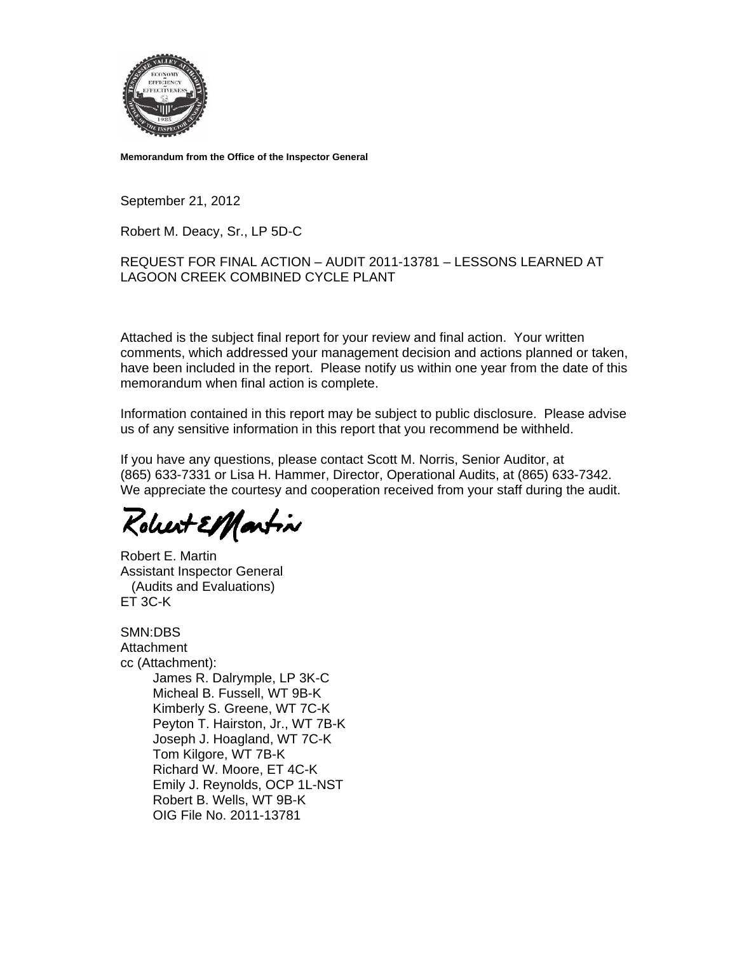

**Memorandum from the Office of the Inspector General** 

September 21, 2012

Robert M. Deacy, Sr., LP 5D-C

### REQUEST FOR FINAL ACTION – AUDIT 2011-13781 – LESSONS LEARNED AT LAGOON CREEK COMBINED CYCLE PLANT

Attached is the subject final report for your review and final action. Your written comments, which addressed your management decision and actions planned or taken, have been included in the report. Please notify us within one year from the date of this memorandum when final action is complete.

Information contained in this report may be subject to public disclosure. Please advise us of any sensitive information in this report that you recommend be withheld.

If you have any questions, please contact Scott M. Norris, Senior Auditor, at (865) 633-7331 or Lisa H. Hammer, Director, Operational Audits, at (865) 633-7342. We appreciate the courtesy and cooperation received from your staff during the audit.

Robert ElHartin

Robert E. Martin Assistant Inspector General (Audits and Evaluations) ET 3C-K

SMN:DBS **Attachment** cc (Attachment): James R. Dalrymple, LP 3K-C Micheal B. Fussell, WT 9B-K Kimberly S. Greene, WT 7C-K Peyton T. Hairston, Jr., WT 7B-K Joseph J. Hoagland, WT 7C-K Tom Kilgore, WT 7B-K Richard W. Moore, ET 4C-K Emily J. Reynolds, OCP 1L-NST Robert B. Wells, WT 9B-K OIG File No. 2011-13781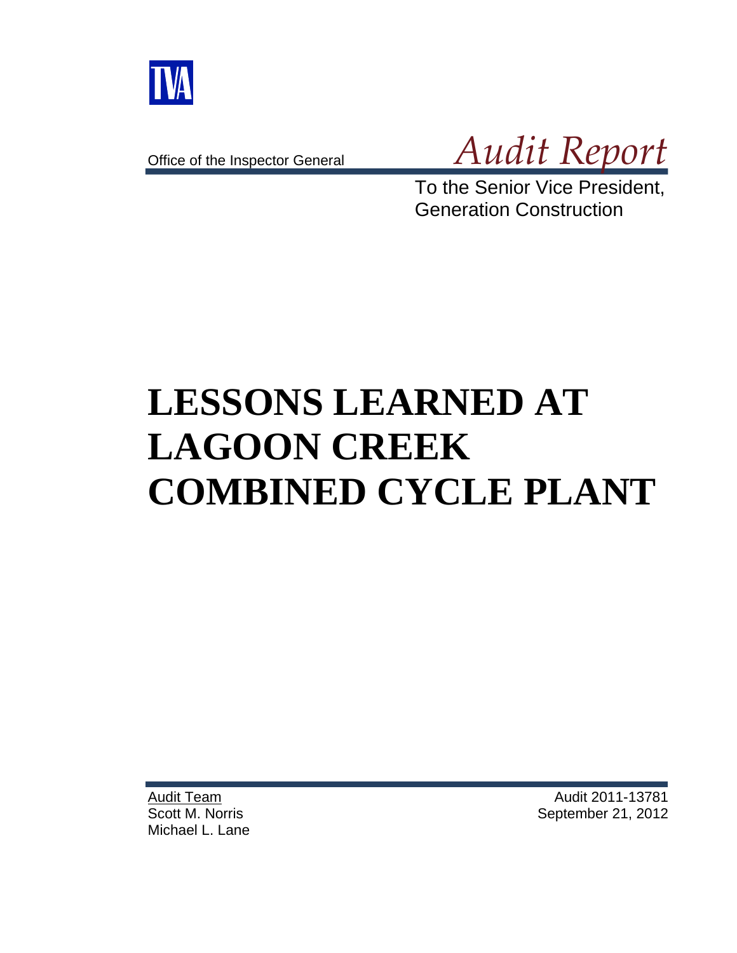

Office of the Inspector General



To the Senior Vice President, Generation Construction

# **LESSONS LEARNED AT LAGOON CREEK COMBINED CYCLE PLANT**

Audit Team Scott M. Norris Michael L. Lane

Audit 2011-13781 September 21, 2012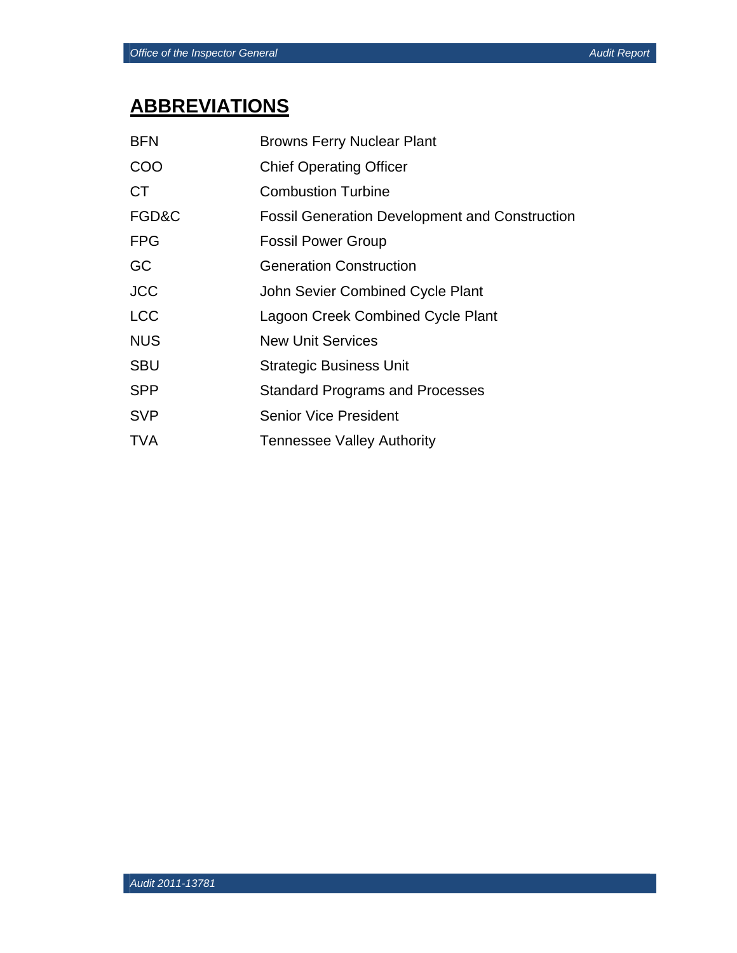## **ABBREVIATIONS**

| <b>BFN</b> | <b>Browns Ferry Nuclear Plant</b>                     |
|------------|-------------------------------------------------------|
| COO        | <b>Chief Operating Officer</b>                        |
| <b>CT</b>  | <b>Combustion Turbine</b>                             |
| FGD&C      | <b>Fossil Generation Development and Construction</b> |
| <b>FPG</b> | <b>Fossil Power Group</b>                             |
| GC         | <b>Generation Construction</b>                        |
| <b>JCC</b> | John Sevier Combined Cycle Plant                      |
| <b>LCC</b> | Lagoon Creek Combined Cycle Plant                     |
| <b>NUS</b> | <b>New Unit Services</b>                              |
| <b>SBU</b> | <b>Strategic Business Unit</b>                        |
| <b>SPP</b> | <b>Standard Programs and Processes</b>                |
| <b>SVP</b> | <b>Senior Vice President</b>                          |
| <b>TVA</b> | <b>Tennessee Valley Authority</b>                     |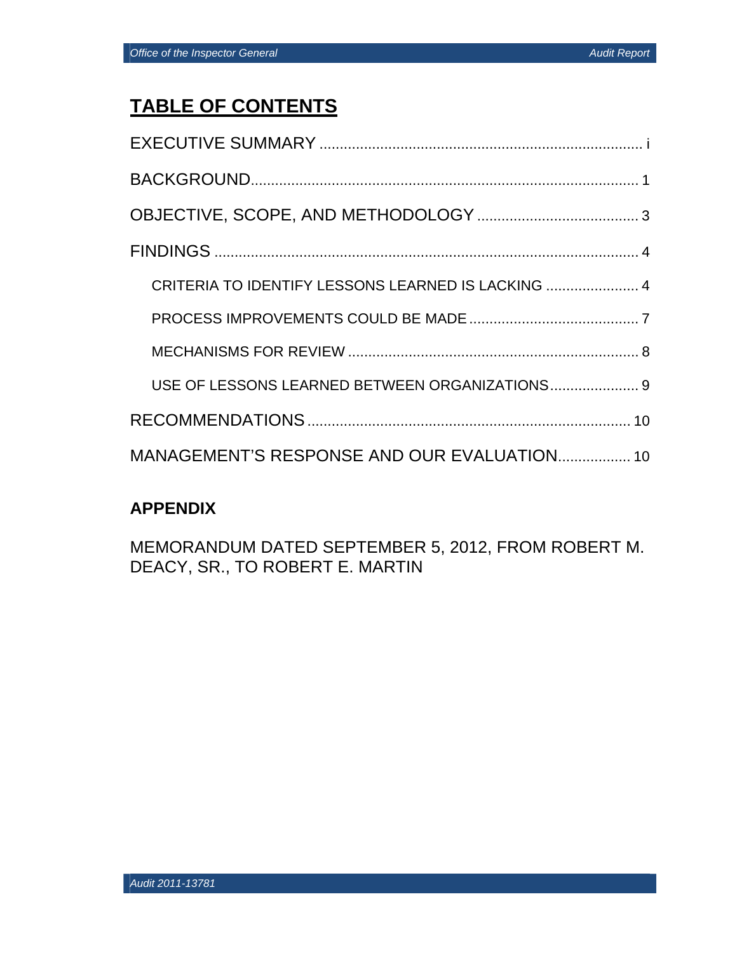## **TABLE OF CONTENTS**

| CRITERIA TO IDENTIFY LESSONS LEARNED IS LACKING  4 |  |
|----------------------------------------------------|--|
|                                                    |  |
|                                                    |  |
| USE OF LESSONS LEARNED BETWEEN ORGANIZATIONS 9     |  |
|                                                    |  |
| MANAGEMENT'S RESPONSE AND OUR EVALUATION 10        |  |

## **APPENDIX**

MEMORANDUM DATED SEPTEMBER 5, 2012, FROM ROBERT M. DEACY, SR., TO ROBERT E. MARTIN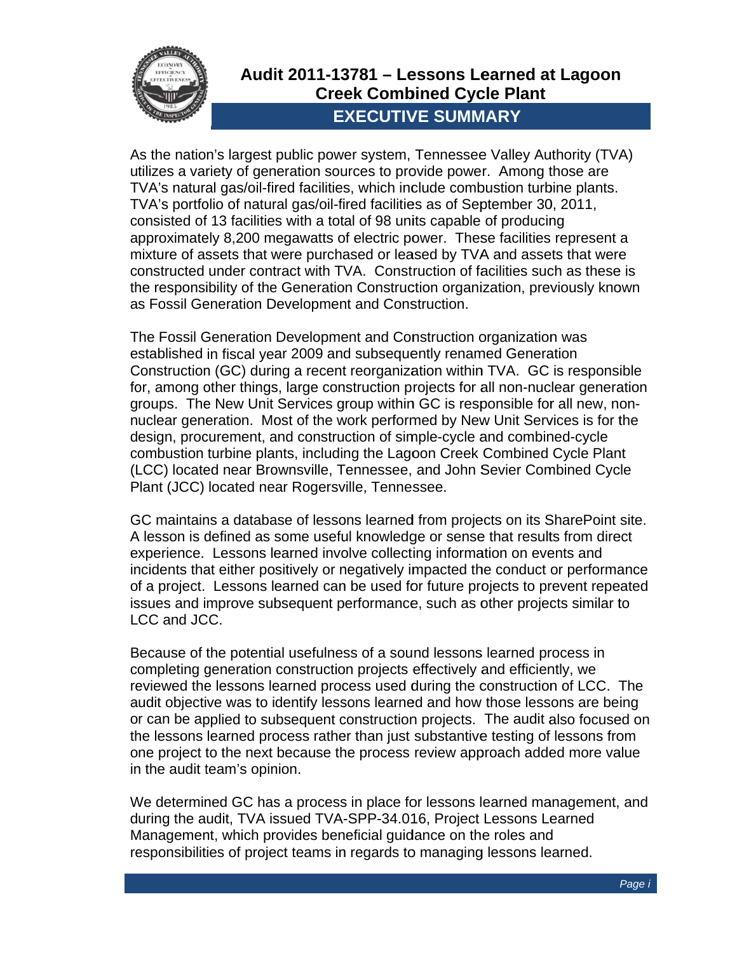

## Audit 2011-13781 - Lessons Learned at Lagoon **Creek Combined Cycle Plant EXECUTIVE SUMMARY**

As the nation's largest public power system. Tennessee Valley Authority (TVA) utilizes a variety of generation sources to provide power. Among those are TVA's natural gas/oil-fired facilities, which include combustion turbine plants. TVA's portfolio of natural gas/oil-fired facilities as of September 30, 2011, consisted of 13 facilities with a total of 98 units capable of producing approximately 8,200 megawatts of electric power. These facilities represent a mixture of assets that were purchased or leased by TVA and assets that were constructed under contract with TVA. Construction of facilities such as these is the responsibility of the Generation Construction organization, previously known as Fossil Generation Development and Construction.

The Fossil Generation Development and Construction organization was established in fiscal year 2009 and subsequently renamed Generation Construction (GC) during a recent reorganization within TVA. GC is responsible for, among other things, large construction projects for all non-nuclear generation groups. The New Unit Services group within GC is responsible for all new, nonnuclear generation. Most of the work performed by New Unit Services is for the design, procurement, and construction of simple-cycle and combined-cycle combustion turbine plants, including the Lagoon Creek Combined Cycle Plant (LCC) located near Brownsville, Tennessee, and John Sevier Combined Cycle Plant (JCC) located near Rogersville, Tennessee.

GC maintains a database of lessons learned from projects on its SharePoint site. A lesson is defined as some useful knowledge or sense that results from direct experience. Lessons learned involve collecting information on events and incidents that either positively or negatively impacted the conduct or performance of a project. Lessons learned can be used for future projects to prevent repeated issues and improve subsequent performance, such as other projects similar to LCC and JCC.

Because of the potential usefulness of a sound lessons learned process in completing generation construction projects effectively and efficiently, we reviewed the lessons learned process used during the construction of LCC. The audit objective was to identify lessons learned and how those lessons are being or can be applied to subsequent construction projects. The audit also focused on the lessons learned process rather than just substantive testing of lessons from one project to the next because the process review approach added more value in the audit team's opinion.

We determined GC has a process in place for lessons learned management, and during the audit, TVA issued TVA-SPP-34.016, Project Lessons Learned Management, which provides beneficial guidance on the roles and responsibilities of project teams in regards to managing lessons learned.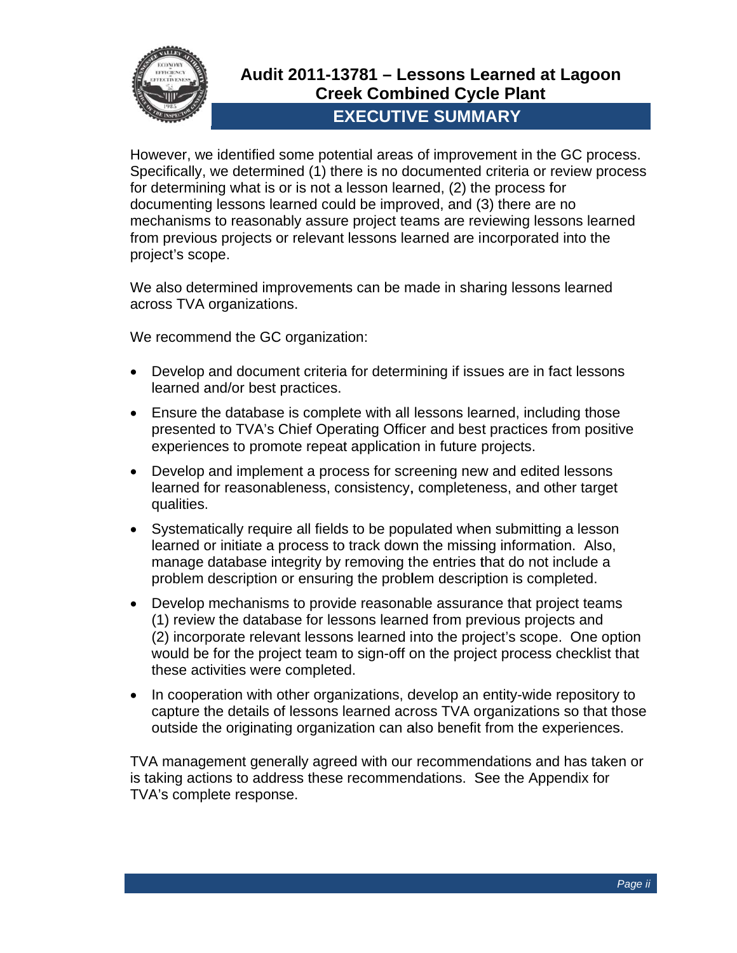

However, we identified some potential areas of improvement in the GC process. Specifically, we determined (1) there is no documented criteria or review process for determining what is or is not a lesson learned, (2) the process for documenting lessons learned could be improved, and (3) there are no mechanisms to reasonably assure project teams are reviewing lessons learned from previous projects or relevant lessons learned are incorporated into the project's scope.

We also determined improvements can be made in sharing lessons learned across TVA organizations.

We recommend the GC organization:

- Develop and document criteria for determining if issues are in fact lessons learned and/or best practices.
- Ensure the database is complete with all lessons learned, including those presented to TVA's Chief Operating Officer and best practices from positive experiences to promote repeat application in future projects.
- Develop and implement a process for screening new and edited lessons learned for reasonableness, consistency, completeness, and other target qualities.
- Systematically require all fields to be populated when submitting a lesson learned or initiate a process to track down the missing information. Also, manage database integrity by removing the entries that do not include a problem description or ensuring the problem description is completed.
- Develop mechanisms to provide reasonable assurance that project teams (1) review the database for lessons learned from previous projects and (2) incorporate relevant lessons learned into the project's scope. One option would be for the project team to sign-off on the project process checklist that these activities were completed.
- In cooperation with other organizations, develop an entity-wide repository to capture the details of lessons learned across TVA organizations so that those outside the originating organization can also benefit from the experiences.

TVA management generally agreed with our recommendations and has taken or is taking actions to address these recommendations. See the Appendix for TVA's complete response.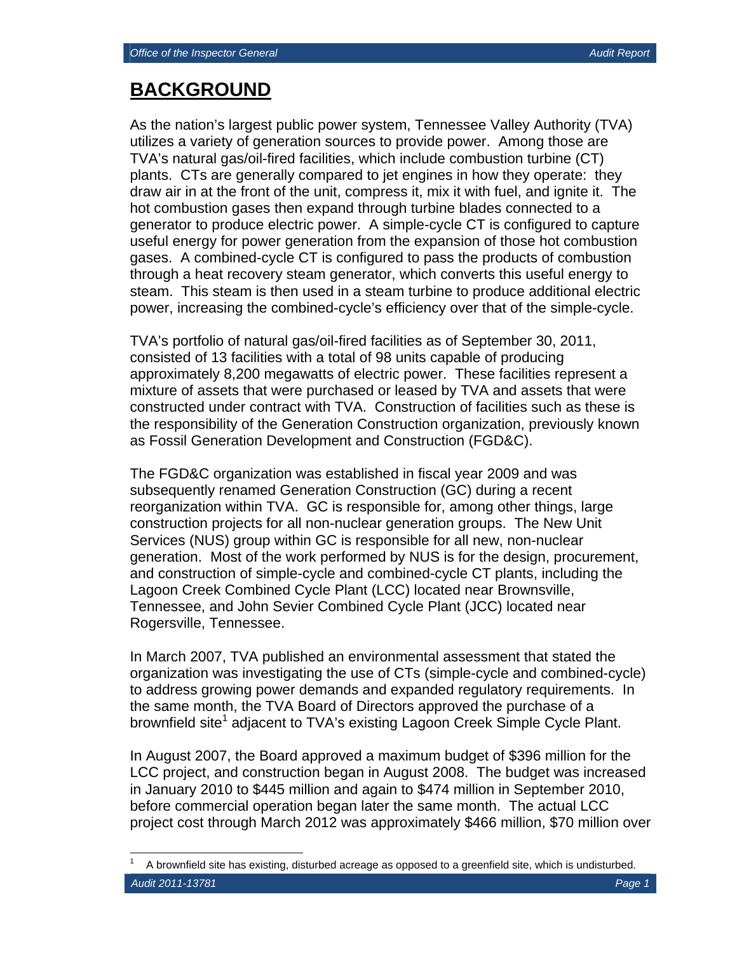## **BACKGROUND**

As the nation's largest public power system, Tennessee Valley Authority (TVA) utilizes a variety of generation sources to provide power. Among those are TVA's natural gas/oil-fired facilities, which include combustion turbine (CT) plants. CTs are generally compared to jet engines in how they operate: they draw air in at the front of the unit, compress it, mix it with fuel, and ignite it. The hot combustion gases then expand through turbine blades connected to a generator to produce electric power. A simple-cycle CT is configured to capture useful energy for power generation from the expansion of those hot combustion gases. A combined-cycle CT is configured to pass the products of combustion through a heat recovery steam generator, which converts this useful energy to steam. This steam is then used in a steam turbine to produce additional electric power, increasing the combined-cycle's efficiency over that of the simple-cycle.

TVA's portfolio of natural gas/oil-fired facilities as of September 30, 2011, consisted of 13 facilities with a total of 98 units capable of producing approximately 8,200 megawatts of electric power. These facilities represent a mixture of assets that were purchased or leased by TVA and assets that were constructed under contract with TVA. Construction of facilities such as these is the responsibility of the Generation Construction organization, previously known as Fossil Generation Development and Construction (FGD&C).

The FGD&C organization was established in fiscal year 2009 and was subsequently renamed Generation Construction (GC) during a recent reorganization within TVA. GC is responsible for, among other things, large construction projects for all non-nuclear generation groups. The New Unit Services (NUS) group within GC is responsible for all new, non-nuclear generation. Most of the work performed by NUS is for the design, procurement, and construction of simple-cycle and combined-cycle CT plants, including the Lagoon Creek Combined Cycle Plant (LCC) located near Brownsville, Tennessee, and John Sevier Combined Cycle Plant (JCC) located near Rogersville, Tennessee.

In March 2007, TVA published an environmental assessment that stated the organization was investigating the use of CTs (simple-cycle and combined-cycle) to address growing power demands and expanded regulatory requirements. In the same month, the TVA Board of Directors approved the purchase of a brownfield site<sup>1</sup> adjacent to TVA's existing Lagoon Creek Simple Cycle Plant.

In August 2007, the Board approved a maximum budget of \$396 million for the LCC project, and construction began in August 2008. The budget was increased in January 2010 to \$445 million and again to \$474 million in September 2010, before commercial operation began later the same month. The actual LCC project cost through March 2012 was approximately \$466 million, \$70 million over

 $\overline{a}$ 

*Audit 2011-13781 Page 1*  1 A brownfield site has existing, disturbed acreage as opposed to a greenfield site, which is undisturbed.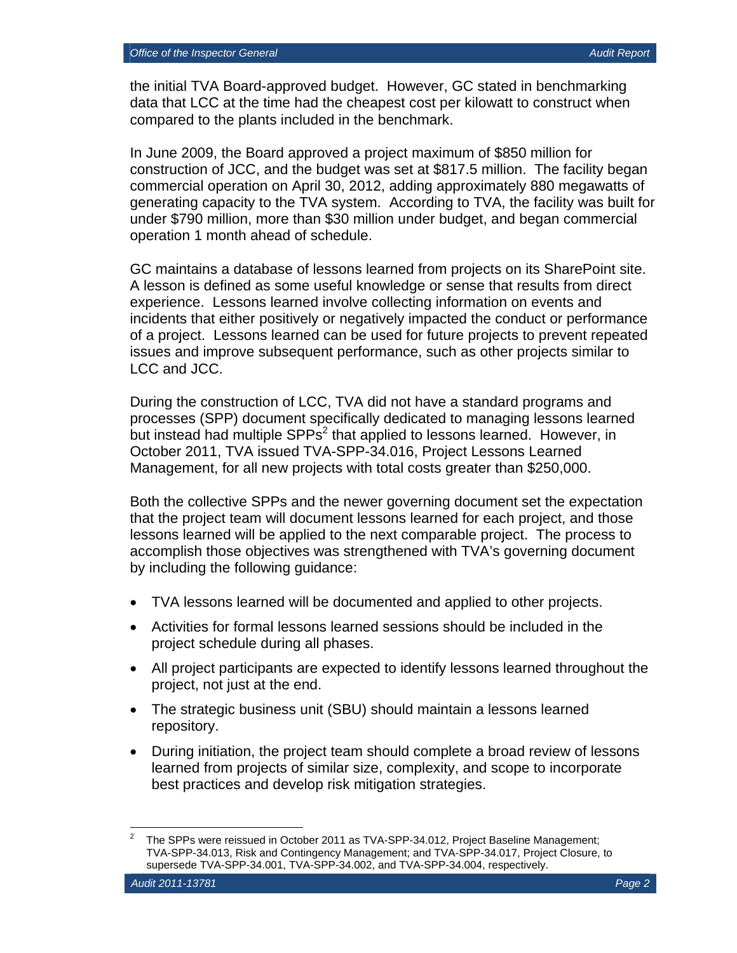the initial TVA Board-approved budget. However, GC stated in benchmarking data that LCC at the time had the cheapest cost per kilowatt to construct when compared to the plants included in the benchmark.

In June 2009, the Board approved a project maximum of \$850 million for construction of JCC, and the budget was set at \$817.5 million. The facility began commercial operation on April 30, 2012, adding approximately 880 megawatts of generating capacity to the TVA system. According to TVA, the facility was built for under \$790 million, more than \$30 million under budget, and began commercial operation 1 month ahead of schedule.

GC maintains a database of lessons learned from projects on its SharePoint site. A lesson is defined as some useful knowledge or sense that results from direct experience. Lessons learned involve collecting information on events and incidents that either positively or negatively impacted the conduct or performance of a project. Lessons learned can be used for future projects to prevent repeated issues and improve subsequent performance, such as other projects similar to LCC and JCC.

During the construction of LCC, TVA did not have a standard programs and processes (SPP) document specifically dedicated to managing lessons learned but instead had multiple  $SPPs<sup>2</sup>$  that applied to lessons learned. However, in October 2011, TVA issued TVA-SPP-34.016, Project Lessons Learned Management, for all new projects with total costs greater than \$250,000.

Both the collective SPPs and the newer governing document set the expectation that the project team will document lessons learned for each project, and those lessons learned will be applied to the next comparable project. The process to accomplish those objectives was strengthened with TVA's governing document by including the following guidance:

- TVA lessons learned will be documented and applied to other projects.
- Activities for formal lessons learned sessions should be included in the project schedule during all phases.
- All project participants are expected to identify lessons learned throughout the project, not just at the end.
- The strategic business unit (SBU) should maintain a lessons learned repository.
- During initiation, the project team should complete a broad review of lessons learned from projects of similar size, complexity, and scope to incorporate best practices and develop risk mitigation strategies.

 $\overline{a}$ 

<sup>2</sup> The SPPs were reissued in October 2011 as TVA-SPP-34.012, Project Baseline Management; TVA-SPP-34.013, Risk and Contingency Management; and TVA-SPP-34.017, Project Closure, to supersede TVA-SPP-34.001, TVA-SPP-34.002, and TVA-SPP-34.004, respectively.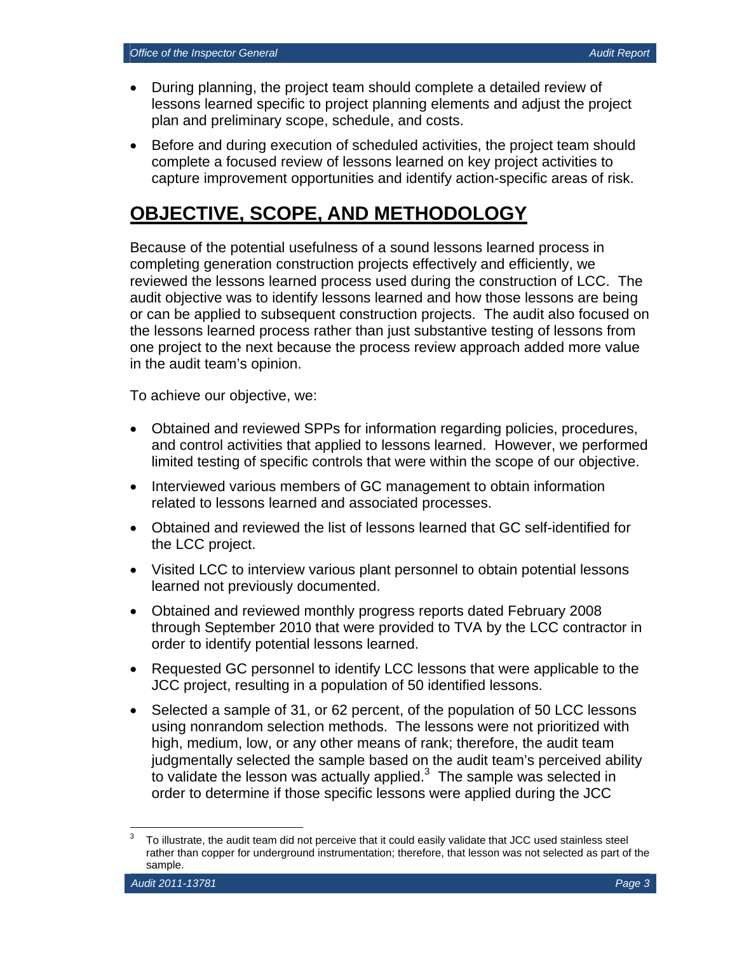- During planning, the project team should complete a detailed review of lessons learned specific to project planning elements and adjust the project plan and preliminary scope, schedule, and costs.
- Before and during execution of scheduled activities, the project team should complete a focused review of lessons learned on key project activities to capture improvement opportunities and identify action-specific areas of risk.

## **OBJECTIVE, SCOPE, AND METHODOLOGY**

Because of the potential usefulness of a sound lessons learned process in completing generation construction projects effectively and efficiently, we reviewed the lessons learned process used during the construction of LCC. The audit objective was to identify lessons learned and how those lessons are being or can be applied to subsequent construction projects. The audit also focused on the lessons learned process rather than just substantive testing of lessons from one project to the next because the process review approach added more value in the audit team's opinion.

To achieve our objective, we:

- Obtained and reviewed SPPs for information regarding policies, procedures, and control activities that applied to lessons learned. However, we performed limited testing of specific controls that were within the scope of our objective.
- Interviewed various members of GC management to obtain information related to lessons learned and associated processes.
- Obtained and reviewed the list of lessons learned that GC self-identified for the LCC project.
- Visited LCC to interview various plant personnel to obtain potential lessons learned not previously documented.
- Obtained and reviewed monthly progress reports dated February 2008 through September 2010 that were provided to TVA by the LCC contractor in order to identify potential lessons learned.
- Requested GC personnel to identify LCC lessons that were applicable to the JCC project, resulting in a population of 50 identified lessons.
- Selected a sample of 31, or 62 percent, of the population of 50 LCC lessons using nonrandom selection methods. The lessons were not prioritized with high, medium, low, or any other means of rank; therefore, the audit team judgmentally selected the sample based on the audit team's perceived ability to validate the lesson was actually applied. $3$  The sample was selected in order to determine if those specific lessons were applied during the JCC

 $\overline{a}$ 3 To illustrate, the audit team did not perceive that it could easily validate that JCC used stainless steel rather than copper for underground instrumentation; therefore, that lesson was not selected as part of the sample.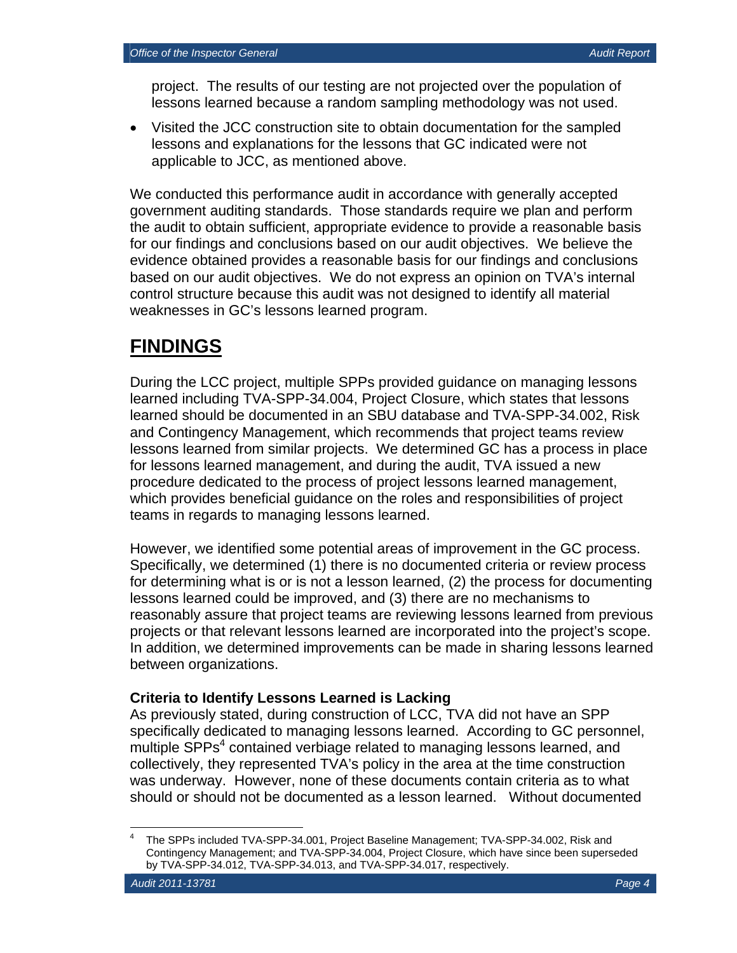project. The results of our testing are not projected over the population of lessons learned because a random sampling methodology was not used.

 Visited the JCC construction site to obtain documentation for the sampled lessons and explanations for the lessons that GC indicated were not applicable to JCC, as mentioned above.

We conducted this performance audit in accordance with generally accepted government auditing standards. Those standards require we plan and perform the audit to obtain sufficient, appropriate evidence to provide a reasonable basis for our findings and conclusions based on our audit objectives. We believe the evidence obtained provides a reasonable basis for our findings and conclusions based on our audit objectives. We do not express an opinion on TVA's internal control structure because this audit was not designed to identify all material weaknesses in GC's lessons learned program.

## **FINDINGS**

During the LCC project, multiple SPPs provided guidance on managing lessons learned including TVA-SPP-34.004, Project Closure, which states that lessons learned should be documented in an SBU database and TVA-SPP-34.002, Risk and Contingency Management, which recommends that project teams review lessons learned from similar projects. We determined GC has a process in place for lessons learned management, and during the audit, TVA issued a new procedure dedicated to the process of project lessons learned management, which provides beneficial guidance on the roles and responsibilities of project teams in regards to managing lessons learned.

However, we identified some potential areas of improvement in the GC process. Specifically, we determined (1) there is no documented criteria or review process for determining what is or is not a lesson learned, (2) the process for documenting lessons learned could be improved, and (3) there are no mechanisms to reasonably assure that project teams are reviewing lessons learned from previous projects or that relevant lessons learned are incorporated into the project's scope. In addition, we determined improvements can be made in sharing lessons learned between organizations.

### **Criteria to Identify Lessons Learned is Lacking**

As previously stated, during construction of LCC, TVA did not have an SPP specifically dedicated to managing lessons learned. According to GC personnel, multiple SPPs<sup>4</sup> contained verbiage related to managing lessons learned, and collectively, they represented TVA's policy in the area at the time construction was underway. However, none of these documents contain criteria as to what should or should not be documented as a lesson learned. Without documented

 $\overline{a}$ 4 The SPPs included TVA-SPP-34.001, Project Baseline Management; TVA-SPP-34.002, Risk and Contingency Management; and TVA-SPP-34.004, Project Closure, which have since been superseded by TVA-SPP-34.012, TVA-SPP-34.013, and TVA-SPP-34.017, respectively.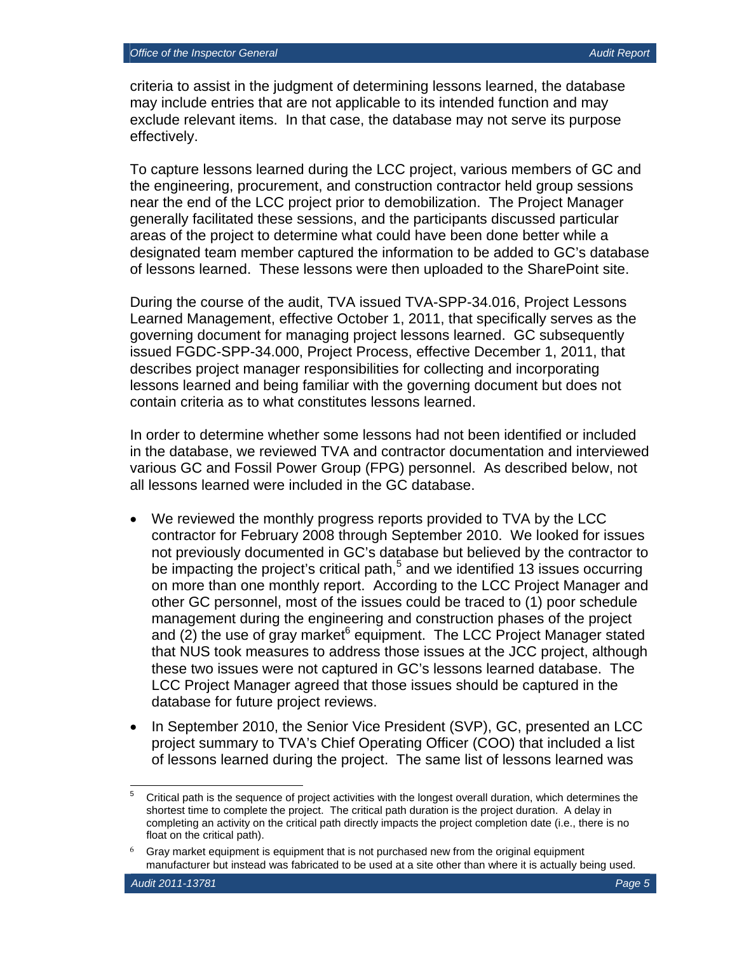criteria to assist in the judgment of determining lessons learned, the database may include entries that are not applicable to its intended function and may exclude relevant items. In that case, the database may not serve its purpose effectively.

To capture lessons learned during the LCC project, various members of GC and the engineering, procurement, and construction contractor held group sessions near the end of the LCC project prior to demobilization. The Project Manager generally facilitated these sessions, and the participants discussed particular areas of the project to determine what could have been done better while a designated team member captured the information to be added to GC's database of lessons learned. These lessons were then uploaded to the SharePoint site.

During the course of the audit, TVA issued TVA-SPP-34.016, Project Lessons Learned Management, effective October 1, 2011, that specifically serves as the governing document for managing project lessons learned. GC subsequently issued FGDC-SPP-34.000, Project Process, effective December 1, 2011, that describes project manager responsibilities for collecting and incorporating lessons learned and being familiar with the governing document but does not contain criteria as to what constitutes lessons learned.

In order to determine whether some lessons had not been identified or included in the database, we reviewed TVA and contractor documentation and interviewed various GC and Fossil Power Group (FPG) personnel. As described below, not all lessons learned were included in the GC database.

- We reviewed the monthly progress reports provided to TVA by the LCC contractor for February 2008 through September 2010. We looked for issues not previously documented in GC's database but believed by the contractor to be impacting the project's critical path,<sup>5</sup> and we identified 13 issues occurring on more than one monthly report. According to the LCC Project Manager and other GC personnel, most of the issues could be traced to (1) poor schedule management during the engineering and construction phases of the project and (2) the use of gray market <sup>6</sup> equipment. The LCC Project Manager stated that NUS took measures to address those issues at the JCC project, although these two issues were not captured in GC's lessons learned database. The LCC Project Manager agreed that those issues should be captured in the database for future project reviews.
- In September 2010, the Senior Vice President (SVP), GC, presented an LCC project summary to TVA's Chief Operating Officer (COO) that included a list of lessons learned during the project. The same list of lessons learned was

 $\overline{a}$ 5 Critical path is the sequence of project activities with the longest overall duration, which determines the shortest time to complete the project. The critical path duration is the project duration. A delay in completing an activity on the critical path directly impacts the project completion date (i.e., there is no float on the critical path).

<sup>6</sup> Gray market equipment is equipment that is not purchased new from the original equipment manufacturer but instead was fabricated to be used at a site other than where it is actually being used.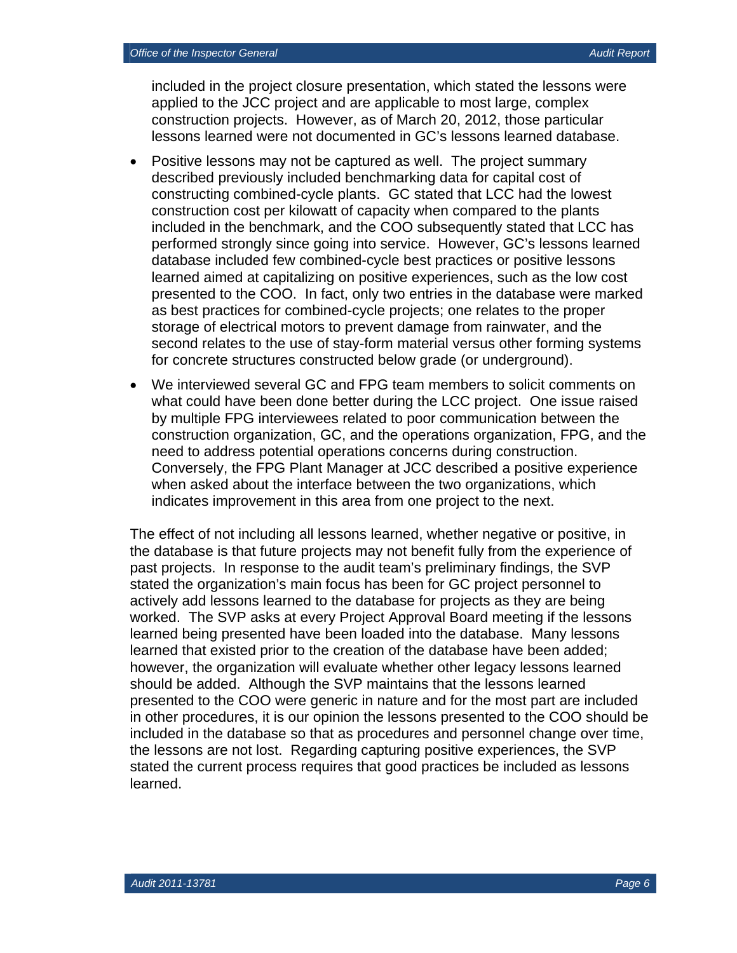included in the project closure presentation, which stated the lessons were applied to the JCC project and are applicable to most large, complex construction projects. However, as of March 20, 2012, those particular lessons learned were not documented in GC's lessons learned database.

- Positive lessons may not be captured as well. The project summary described previously included benchmarking data for capital cost of constructing combined-cycle plants. GC stated that LCC had the lowest construction cost per kilowatt of capacity when compared to the plants included in the benchmark, and the COO subsequently stated that LCC has performed strongly since going into service. However, GC's lessons learned database included few combined-cycle best practices or positive lessons learned aimed at capitalizing on positive experiences, such as the low cost presented to the COO. In fact, only two entries in the database were marked as best practices for combined-cycle projects; one relates to the proper storage of electrical motors to prevent damage from rainwater, and the second relates to the use of stay-form material versus other forming systems for concrete structures constructed below grade (or underground).
- We interviewed several GC and FPG team members to solicit comments on what could have been done better during the LCC project. One issue raised by multiple FPG interviewees related to poor communication between the construction organization, GC, and the operations organization, FPG, and the need to address potential operations concerns during construction. Conversely, the FPG Plant Manager at JCC described a positive experience when asked about the interface between the two organizations, which indicates improvement in this area from one project to the next.

The effect of not including all lessons learned, whether negative or positive, in the database is that future projects may not benefit fully from the experience of past projects. In response to the audit team's preliminary findings, the SVP stated the organization's main focus has been for GC project personnel to actively add lessons learned to the database for projects as they are being worked. The SVP asks at every Project Approval Board meeting if the lessons learned being presented have been loaded into the database. Many lessons learned that existed prior to the creation of the database have been added; however, the organization will evaluate whether other legacy lessons learned should be added. Although the SVP maintains that the lessons learned presented to the COO were generic in nature and for the most part are included in other procedures, it is our opinion the lessons presented to the COO should be included in the database so that as procedures and personnel change over time, the lessons are not lost. Regarding capturing positive experiences, the SVP stated the current process requires that good practices be included as lessons learned.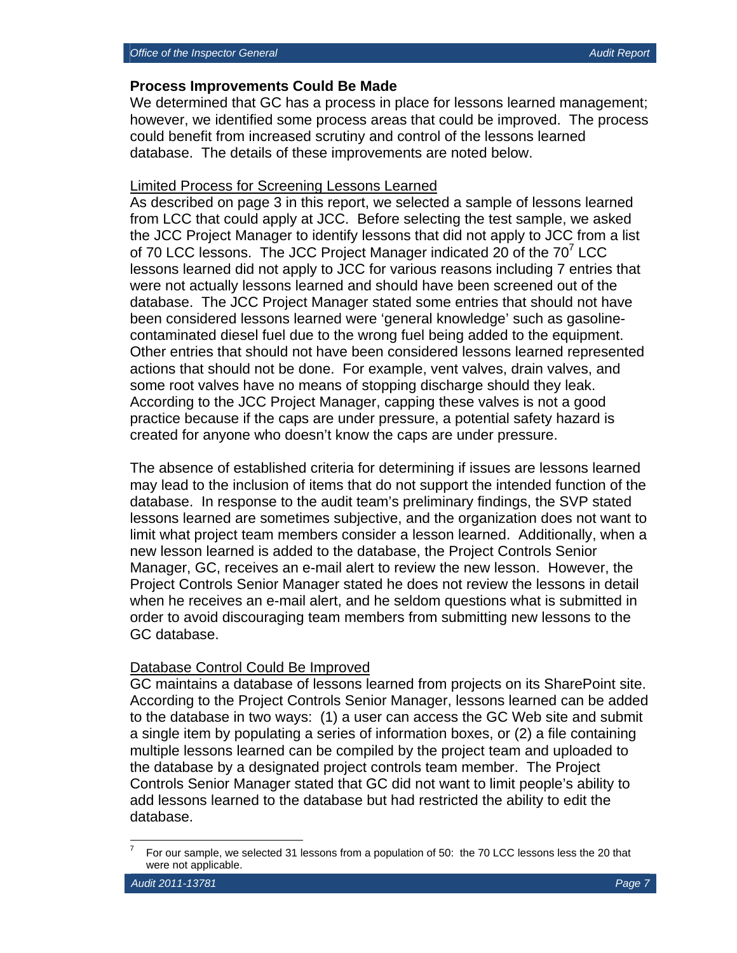#### **Process Improvements Could Be Made**

We determined that GC has a process in place for lessons learned management; however, we identified some process areas that could be improved. The process could benefit from increased scrutiny and control of the lessons learned database. The details of these improvements are noted below.

#### Limited Process for Screening Lessons Learned

As described on page 3 in this report, we selected a sample of lessons learned from LCC that could apply at JCC. Before selecting the test sample, we asked the JCC Project Manager to identify lessons that did not apply to JCC from a list of 70 LCC lessons. The JCC Project Manager indicated 20 of the 70<sup>7</sup> LCC lessons learned did not apply to JCC for various reasons including 7 entries that were not actually lessons learned and should have been screened out of the database. The JCC Project Manager stated some entries that should not have been considered lessons learned were 'general knowledge' such as gasolinecontaminated diesel fuel due to the wrong fuel being added to the equipment. Other entries that should not have been considered lessons learned represented actions that should not be done. For example, vent valves, drain valves, and some root valves have no means of stopping discharge should they leak. According to the JCC Project Manager, capping these valves is not a good practice because if the caps are under pressure, a potential safety hazard is created for anyone who doesn't know the caps are under pressure.

The absence of established criteria for determining if issues are lessons learned may lead to the inclusion of items that do not support the intended function of the database. In response to the audit team's preliminary findings, the SVP stated lessons learned are sometimes subjective, and the organization does not want to limit what project team members consider a lesson learned. Additionally, when a new lesson learned is added to the database, the Project Controls Senior Manager, GC, receives an e-mail alert to review the new lesson. However, the Project Controls Senior Manager stated he does not review the lessons in detail when he receives an e-mail alert, and he seldom questions what is submitted in order to avoid discouraging team members from submitting new lessons to the GC database.

#### Database Control Could Be Improved

GC maintains a database of lessons learned from projects on its SharePoint site. According to the Project Controls Senior Manager, lessons learned can be added to the database in two ways: (1) a user can access the GC Web site and submit a single item by populating a series of information boxes, or (2) a file containing multiple lessons learned can be compiled by the project team and uploaded to the database by a designated project controls team member. The Project Controls Senior Manager stated that GC did not want to limit people's ability to add lessons learned to the database but had restricted the ability to edit the database.

 $\overline{a}$ 

<sup>7</sup> For our sample, we selected 31 lessons from a population of 50: the 70 LCC lessons less the 20 that were not applicable.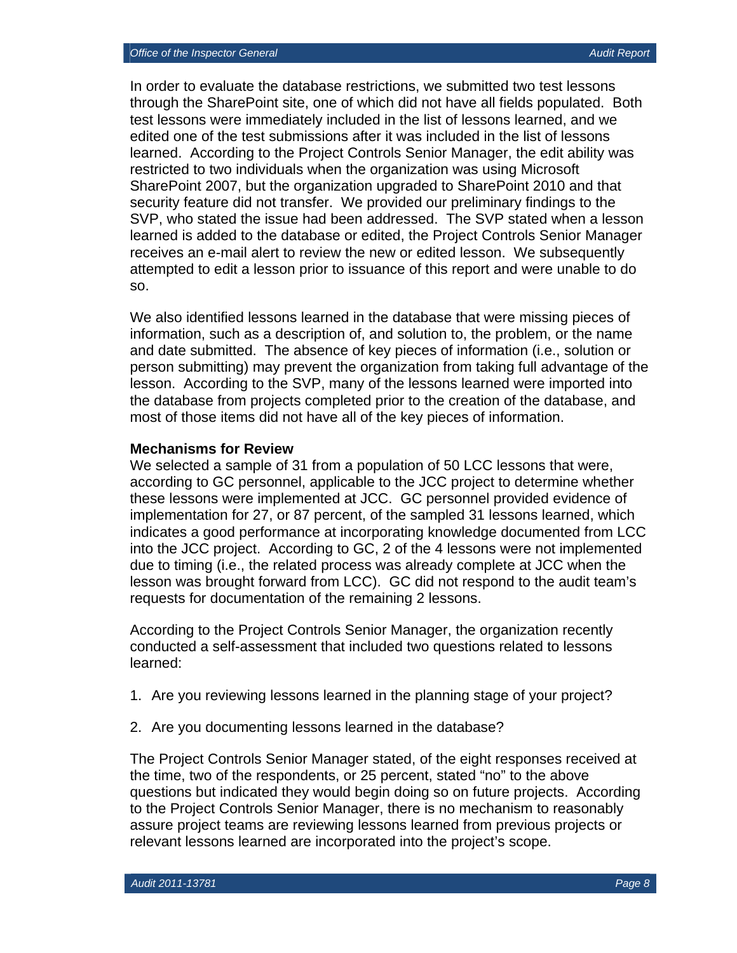In order to evaluate the database restrictions, we submitted two test lessons through the SharePoint site, one of which did not have all fields populated. Both test lessons were immediately included in the list of lessons learned, and we edited one of the test submissions after it was included in the list of lessons learned. According to the Project Controls Senior Manager, the edit ability was restricted to two individuals when the organization was using Microsoft SharePoint 2007, but the organization upgraded to SharePoint 2010 and that security feature did not transfer. We provided our preliminary findings to the SVP, who stated the issue had been addressed. The SVP stated when a lesson learned is added to the database or edited, the Project Controls Senior Manager receives an e-mail alert to review the new or edited lesson. We subsequently attempted to edit a lesson prior to issuance of this report and were unable to do so.

We also identified lessons learned in the database that were missing pieces of information, such as a description of, and solution to, the problem, or the name and date submitted. The absence of key pieces of information (i.e., solution or person submitting) may prevent the organization from taking full advantage of the lesson. According to the SVP, many of the lessons learned were imported into the database from projects completed prior to the creation of the database, and most of those items did not have all of the key pieces of information.

#### **Mechanisms for Review**

We selected a sample of 31 from a population of 50 LCC lessons that were, according to GC personnel, applicable to the JCC project to determine whether these lessons were implemented at JCC. GC personnel provided evidence of implementation for 27, or 87 percent, of the sampled 31 lessons learned, which indicates a good performance at incorporating knowledge documented from LCC into the JCC project. According to GC, 2 of the 4 lessons were not implemented due to timing (i.e., the related process was already complete at JCC when the lesson was brought forward from LCC). GC did not respond to the audit team's requests for documentation of the remaining 2 lessons.

According to the Project Controls Senior Manager, the organization recently conducted a self-assessment that included two questions related to lessons learned:

- 1. Are you reviewing lessons learned in the planning stage of your project?
- 2. Are you documenting lessons learned in the database?

The Project Controls Senior Manager stated, of the eight responses received at the time, two of the respondents, or 25 percent, stated "no" to the above questions but indicated they would begin doing so on future projects. According to the Project Controls Senior Manager, there is no mechanism to reasonably assure project teams are reviewing lessons learned from previous projects or relevant lessons learned are incorporated into the project's scope.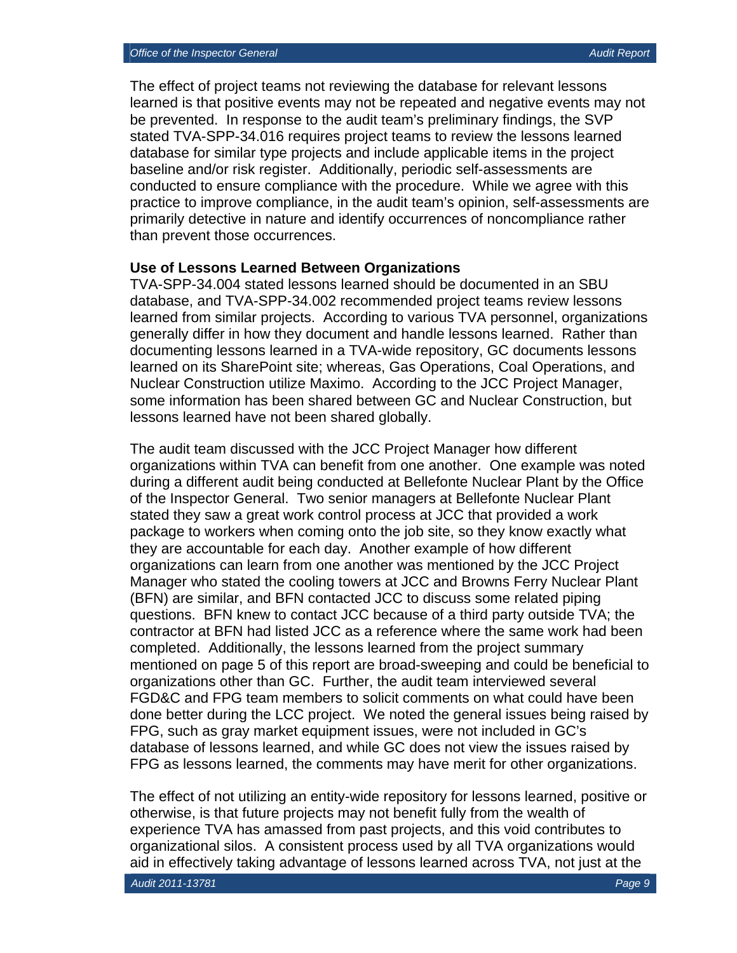The effect of project teams not reviewing the database for relevant lessons learned is that positive events may not be repeated and negative events may not be prevented. In response to the audit team's preliminary findings, the SVP stated TVA-SPP-34.016 requires project teams to review the lessons learned database for similar type projects and include applicable items in the project baseline and/or risk register. Additionally, periodic self-assessments are conducted to ensure compliance with the procedure. While we agree with this practice to improve compliance, in the audit team's opinion, self-assessments are primarily detective in nature and identify occurrences of noncompliance rather than prevent those occurrences.

#### **Use of Lessons Learned Between Organizations**

TVA-SPP-34.004 stated lessons learned should be documented in an SBU database, and TVA-SPP-34.002 recommended project teams review lessons learned from similar projects. According to various TVA personnel, organizations generally differ in how they document and handle lessons learned. Rather than documenting lessons learned in a TVA-wide repository, GC documents lessons learned on its SharePoint site; whereas, Gas Operations, Coal Operations, and Nuclear Construction utilize Maximo. According to the JCC Project Manager, some information has been shared between GC and Nuclear Construction, but lessons learned have not been shared globally.

The audit team discussed with the JCC Project Manager how different organizations within TVA can benefit from one another. One example was noted during a different audit being conducted at Bellefonte Nuclear Plant by the Office of the Inspector General. Two senior managers at Bellefonte Nuclear Plant stated they saw a great work control process at JCC that provided a work package to workers when coming onto the job site, so they know exactly what they are accountable for each day. Another example of how different organizations can learn from one another was mentioned by the JCC Project Manager who stated the cooling towers at JCC and Browns Ferry Nuclear Plant (BFN) are similar, and BFN contacted JCC to discuss some related piping questions. BFN knew to contact JCC because of a third party outside TVA; the contractor at BFN had listed JCC as a reference where the same work had been completed. Additionally, the lessons learned from the project summary mentioned on page 5 of this report are broad-sweeping and could be beneficial to organizations other than GC. Further, the audit team interviewed several FGD&C and FPG team members to solicit comments on what could have been done better during the LCC project. We noted the general issues being raised by FPG, such as gray market equipment issues, were not included in GC's database of lessons learned, and while GC does not view the issues raised by FPG as lessons learned, the comments may have merit for other organizations.

The effect of not utilizing an entity-wide repository for lessons learned, positive or otherwise, is that future projects may not benefit fully from the wealth of experience TVA has amassed from past projects, and this void contributes to organizational silos. A consistent process used by all TVA organizations would aid in effectively taking advantage of lessons learned across TVA, not just at the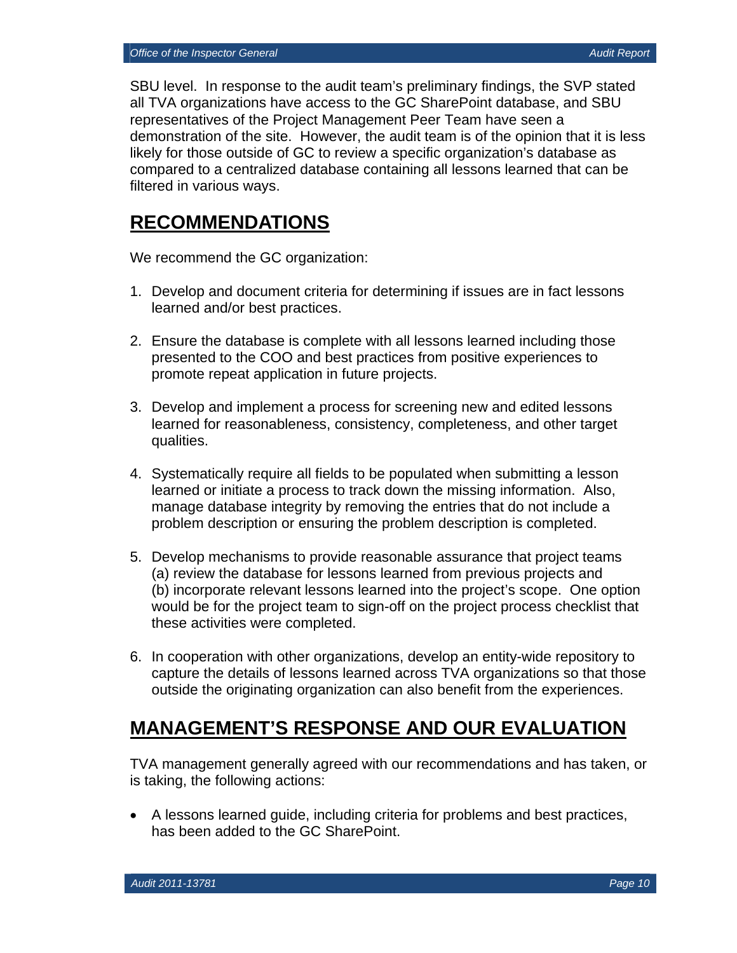SBU level. In response to the audit team's preliminary findings, the SVP stated all TVA organizations have access to the GC SharePoint database, and SBU representatives of the Project Management Peer Team have seen a demonstration of the site. However, the audit team is of the opinion that it is less likely for those outside of GC to review a specific organization's database as compared to a centralized database containing all lessons learned that can be filtered in various ways.

## **RECOMMENDATIONS**

We recommend the GC organization:

- 1. Develop and document criteria for determining if issues are in fact lessons learned and/or best practices.
- 2. Ensure the database is complete with all lessons learned including those presented to the COO and best practices from positive experiences to promote repeat application in future projects.
- 3. Develop and implement a process for screening new and edited lessons learned for reasonableness, consistency, completeness, and other target qualities.
- 4. Systematically require all fields to be populated when submitting a lesson learned or initiate a process to track down the missing information. Also, manage database integrity by removing the entries that do not include a problem description or ensuring the problem description is completed.
- 5. Develop mechanisms to provide reasonable assurance that project teams (a) review the database for lessons learned from previous projects and (b) incorporate relevant lessons learned into the project's scope. One option would be for the project team to sign-off on the project process checklist that these activities were completed.
- 6. In cooperation with other organizations, develop an entity-wide repository to capture the details of lessons learned across TVA organizations so that those outside the originating organization can also benefit from the experiences.

## **MANAGEMENT'S RESPONSE AND OUR EVALUATION**

TVA management generally agreed with our recommendations and has taken, or is taking, the following actions:

 A lessons learned guide, including criteria for problems and best practices, has been added to the GC SharePoint.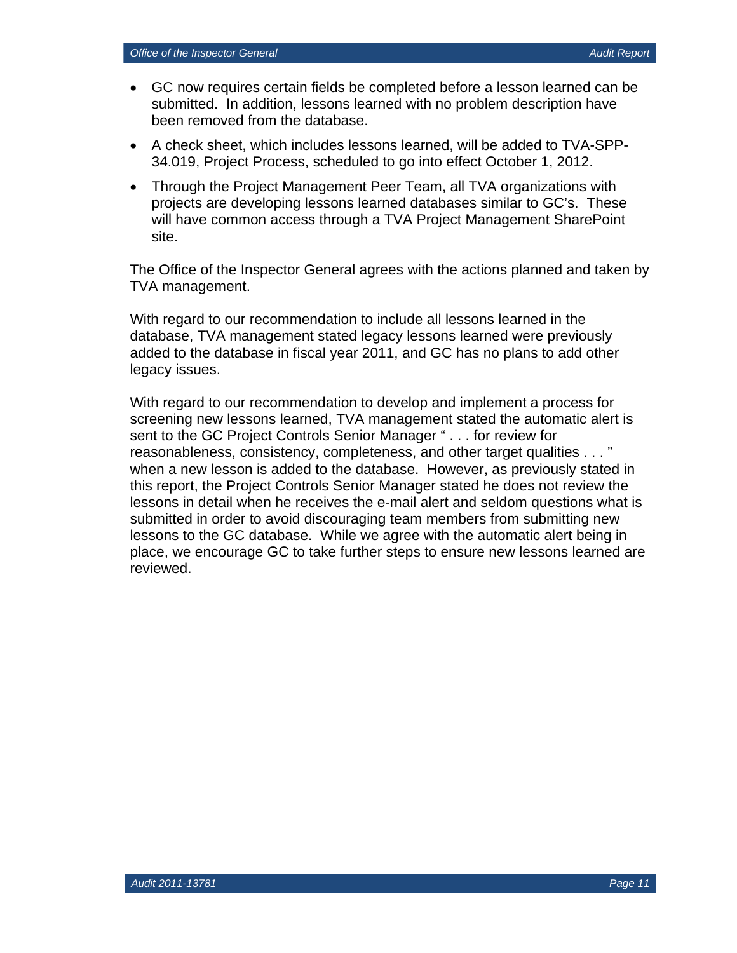- GC now requires certain fields be completed before a lesson learned can be submitted. In addition, lessons learned with no problem description have been removed from the database.
- A check sheet, which includes lessons learned, will be added to TVA-SPP-34.019, Project Process, scheduled to go into effect October 1, 2012.
- Through the Project Management Peer Team, all TVA organizations with projects are developing lessons learned databases similar to GC's. These will have common access through a TVA Project Management SharePoint site.

The Office of the Inspector General agrees with the actions planned and taken by TVA management.

With regard to our recommendation to include all lessons learned in the database, TVA management stated legacy lessons learned were previously added to the database in fiscal year 2011, and GC has no plans to add other legacy issues.

With regard to our recommendation to develop and implement a process for screening new lessons learned, TVA management stated the automatic alert is sent to the GC Project Controls Senior Manager " . . . for review for reasonableness, consistency, completeness, and other target qualities . . . " when a new lesson is added to the database. However, as previously stated in this report, the Project Controls Senior Manager stated he does not review the lessons in detail when he receives the e-mail alert and seldom questions what is submitted in order to avoid discouraging team members from submitting new lessons to the GC database. While we agree with the automatic alert being in place, we encourage GC to take further steps to ensure new lessons learned are reviewed.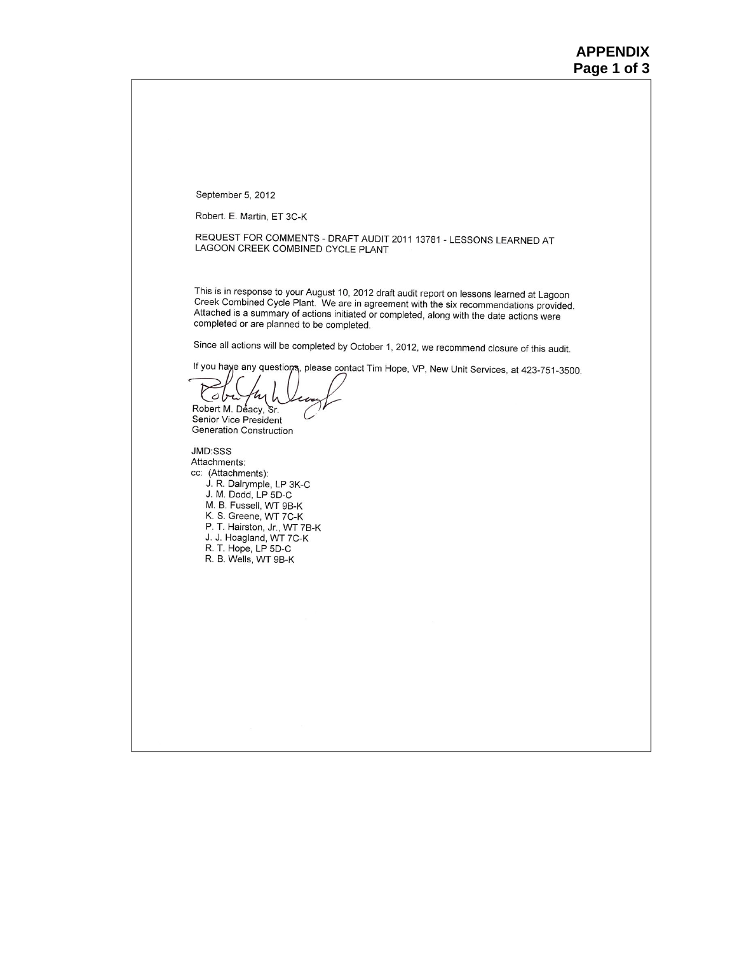September 5, 2012

Robert. E. Martin, ET 3C-K

REQUEST FOR COMMENTS - DRAFT AUDIT 2011 13781 - LESSONS LEARNED AT LAGOON CREEK COMBINED CYCLE PLANT

This is in response to your August 10, 2012 draft audit report on lessons learned at Lagoon Creek Combined Cycle Plant. We are in agreement with the six recommendations provided. Attached is a summary of actions initiated or completed, along with the date actions were completed or are planned to be completed.

Since all actions will be completed by October 1, 2012, we recommend closure of this audit.

If you haye any questions, please contact Tim Hope, VP, New Unit Services, at 423-751-3500.

kyh  $obt$ Robert M. Deacy, Sr. Senior Vice President Generation Construction

JMD:SSS Attachments: cc: (Attachments): J. R. Dalrymple, LP 3K-C<br>J. M. Dodd, LP 5D-C M. B. Fussell, WT 9B-K K. S. Greene, WT 7C-K P. T. Hairston, Jr., WT 7B-K J. J. Hoagland, WT 7C-K R. T. Hope, LP 5D-C R. B. Wells, WT 9B-K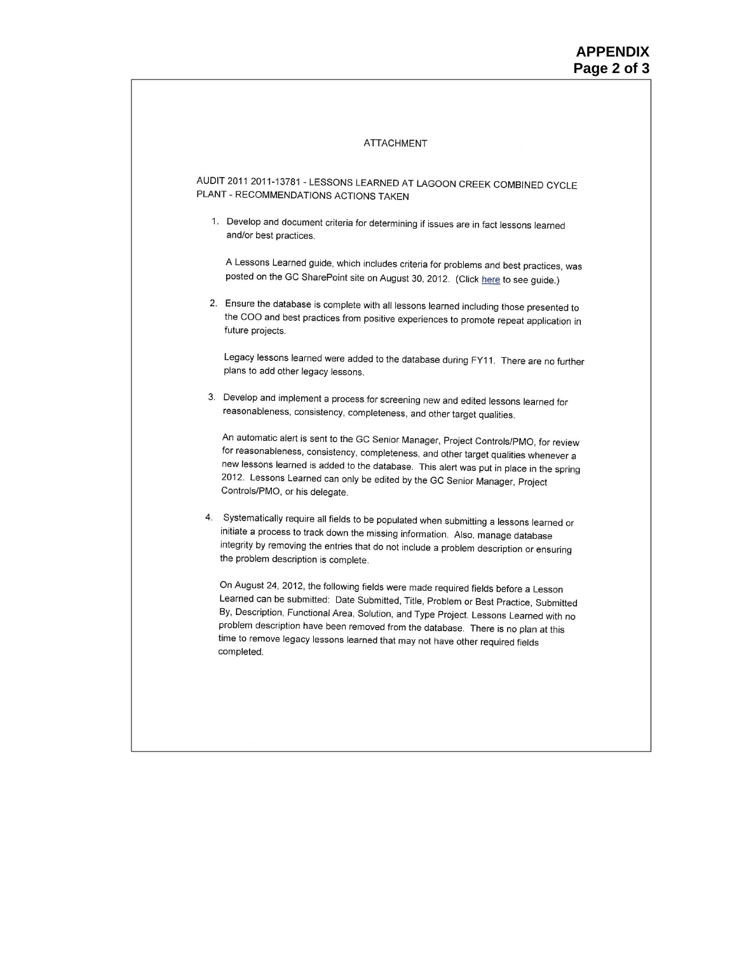#### **ATTACHMENT**

AUDIT 2011 2011-13781 - LESSONS LEARNED AT LAGOON CREEK COMBINED CYCLE PLANT - RECOMMENDATIONS ACTIONS TAKEN

1. Develop and document criteria for determining if issues are in fact lessons learned and/or best practices.

A Lessons Learned guide, which includes criteria for problems and best practices, was posted on the GC SharePoint site on August 30, 2012. (Click here to see guide.)

2. Ensure the database is complete with all lessons learned including those presented to the COO and best practices from positive experiences to promote repeat application in future projects.

Legacy lessons learned were added to the database during FY11. There are no further plans to add other legacy lessons.

3. Develop and implement a process for screening new and edited lessons learned for reasonableness, consistency, completeness, and other target qualities.

An automatic alert is sent to the GC Senior Manager, Project Controls/PMO, for review for reasonableness, consistency, completeness, and other target qualities whenever a new lessons learned is added to the database. This alert was put in place in the spring 2012. Lessons Learned can only be edited by the GC Senior Manager, Project Controls/PMO, or his delegate.

4. Systematically require all fields to be populated when submitting a lessons learned or initiate a process to track down the missing information. Also, manage database integrity by removing the entries that do not include a problem description or ensuring the problem description is complete.

On August 24, 2012, the following fields were made required fields before a Lesson Learned can be submitted: Date Submitted, Title, Problem or Best Practice, Submitted By, Description, Functional Area, Solution, and Type Project. Lessons Learned with no problem description have been removed from the database. There is no plan at this time to remove legacy lessons learned that may not have other required fields completed.